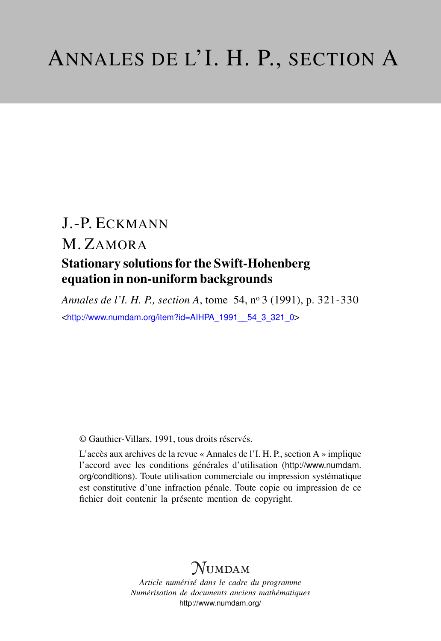# J.-P. ECKMANN M. ZAMORA Stationary solutions for the Swift-Hohenberg equation in non-uniform backgrounds

*Annales de l'I. H. P., section A*, tome 54, n<sup>o</sup> 3 (1991), p. 321-330 <[http://www.numdam.org/item?id=AIHPA\\_1991\\_\\_54\\_3\\_321\\_0](http://www.numdam.org/item?id=AIHPA_1991__54_3_321_0)>

© Gauthier-Villars, 1991, tous droits réservés.

L'accès aux archives de la revue « Annales de l'I. H. P., section A » implique l'accord avec les conditions générales d'utilisation ([http://www.numdam.](http://www.numdam.org/conditions) [org/conditions](http://www.numdam.org/conditions)). Toute utilisation commerciale ou impression systématique est constitutive d'une infraction pénale. Toute copie ou impression de ce fichier doit contenir la présente mention de copyright.

# $N$ UMDAM

*Article numérisé dans le cadre du programme Numérisation de documents anciens mathématiques* <http://www.numdam.org/>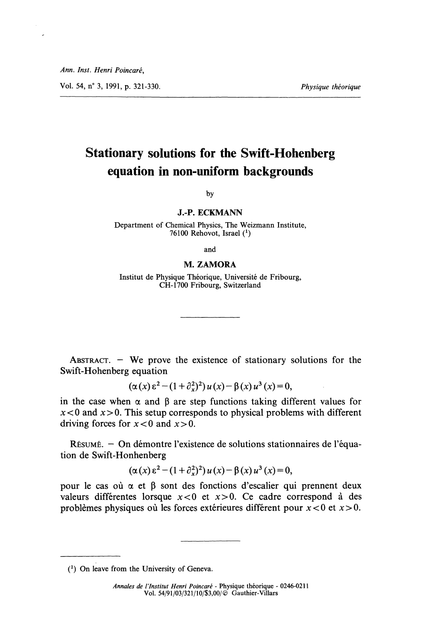Ann. Inst. Henri Poincaré,

Vol. 54, n° 3, 1991, p. 321-330. Thus and the set of the *Physique théorique* the *Physique théorique* 

# Stationary solutions for the Swift-Hohenberg equation in non-uniform backgrounds

by

J.-P. ECKMANN

Department of Chemical Physics, The Weizmann Institute, 76100 Rehovot, Israel  $(1)$ 

and

#### M. ZAMORA

Institut de Physique Théorique, Université de Fribourg, CH-1700 Fribourg, Switzerland

ABSTRACT.  $-$  We prove the existence of stationary solutions for the Swift-Hohenberg equation

$$
(\alpha(x) \epsilon^{2} - (1 + \partial_{x}^{2})^{2}) u(x) - \beta(x) u^{3}(x) = 0,
$$

in the case when  $\alpha$  and  $\beta$  are step functions taking different values for  $x < 0$  and  $x > 0$ . This setup corresponds to physical problems with different driving forces for  $x < 0$  and  $x > 0$ .

RÉSUMÉ. - On démontre l'existence de solutions stationnaires de l'équation de Swift-Honhenberg

$$
(\alpha(x)\,\varepsilon^2 - (1+\partial_x^2)^2) u(x) - \beta(x) u^3(x) = 0,
$$

pour le cas où  $\alpha$  et  $\beta$  sont des fonctions d'escalier qui prennent deux valeurs différentes lorsque  $x < 0$  et  $x > 0$ . Ce cadre correspond à des problèmes physiques où les forces extérieures différent pour  $x < 0$  et  $x > 0$ .

Annales de l'Institut Henri Poincaré - Physique théorique - 0246-0211 Vol. 54/91/03/321/10/\$3,00/(e Gauthier-Villars

<sup>(1)</sup> On leave from the University of Geneva.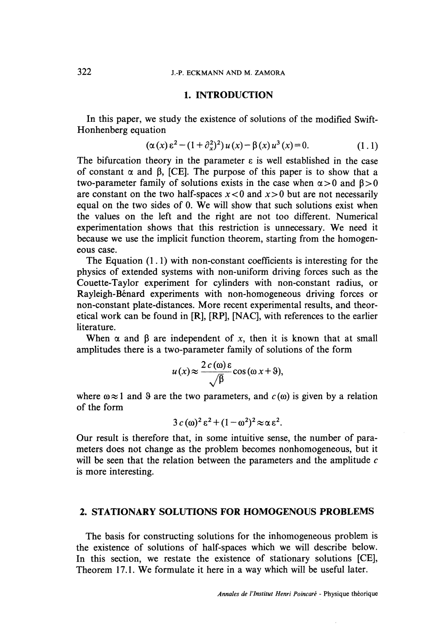## 1. INTRODUCTION

In this paper, we study the existence of solutions of the modified Swift-Honhenberg equation

$$
(\alpha(x)\,\varepsilon^2 - (1+\partial_x^2)^2) u(x) - \beta(x) u^3(x) = 0. \tag{1.1}
$$

The bifurcation theory in the parameter  $\varepsilon$  is well established in the case of constant  $\alpha$  and  $\beta$ , [CE]. The purpose of this paper is to show that a two-parameter family of solutions exists in the case when  $\alpha > 0$  and  $\beta > 0$ are constant on the two half-spaces  $x < 0$  and  $x > 0$  but are not necessarily equal on the two sides of 0. We will show that such solutions exist when the values on the left and the right are not too différent. Numerical experimentation shows that this restriction is unnecessary. We need it because we use the implicit function theorem, starting from the homogen eous case.

The Equation  $(1, 1)$  with non-constant coefficients is interesting for the physics of extended systems with non-uniform driving forces such as the Couette-Taylor experiment for cylinders with non-constant radius, or Rayleigh-Bénard experiments with non-homogeneous driving forces or non-constant plate-distances. More recent experimental results, and theoretical work can be found in [R], [RP], [NAC], with références to the earlier literature.

When  $\alpha$  and  $\beta$  are independent of x, then it is known that at small amplitudes there is a two-parameter family of solutions of the form

$$
u(x) \approx \frac{2 c(\omega) \epsilon}{\sqrt{\beta}} \cos (\omega x + \vartheta),
$$

where  $\omega \approx 1$  and 9 are the two parameters, and  $c(\omega)$  is given by a relation of the form

$$
3 c \,(\omega)^2 \,\varepsilon^2 + (1 - \omega^2)^2 \approx \alpha \,\varepsilon^2.
$$

Our result is therefore that, in some intuitive sense, the number of parameters does not change as the problem becomes nonhomogeneous, but it will be seen that the relation between the parameters and the amplitude  $c$ is more interesting.

# 2. STATIONARY SOLUTIONS FOR HOMOGENOUS PROBLEMS

The basis for constructing solutions for the inhomogeneous problem is the existence of solutions of half-spaces which we will describe below. In this section, we restate the existence of stationary solutions [CE], Theorem 17.1. We formulate it here in a way which will be useful later.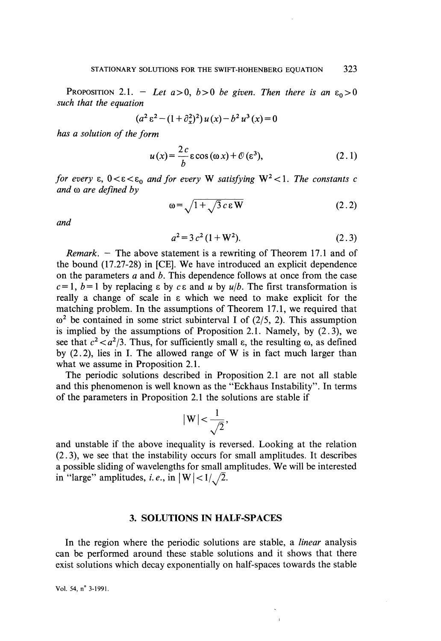PROPOSITION 2.1. - Let  $a > 0$ ,  $b > 0$  be given. Then there is an  $\varepsilon_0 > 0$ such that the equation

$$
(a^{2} \varepsilon^{2} - (1 + \partial_{x}^{2})^{2}) u(x) - b^{2} u^{3}(x) = 0
$$

has a solution of the form

$$
u(x) = \frac{2c}{b} \varepsilon \cos(\omega x) + \mathcal{O}(\varepsilon^3),
$$
 (2.1)

for every  $\varepsilon$ ,  $0 < \varepsilon < \varepsilon_0$  and for every W satisfying  $W^2 < 1$ . The constants c and  $\omega$  are defined by

$$
\omega = \sqrt{1 + \sqrt{3} c \epsilon W} \tag{2.2}
$$

and

$$
a^2 = 3c^2(1 + W^2). \tag{2.3}
$$

*Remark.*  $-$  The above statement is a rewriting of Theorem 17.1 and of the bound (17.27-28) in [CE]. We have introduced an explicit dependence on the parameters  $a$  and  $b$ . This dependence follows at once from the case  $c=1$ ,  $b=1$  by replacing  $\varepsilon$  by  $c\epsilon$  and u by  $u/b$ . The first transformation is really a change of scale in E which we need to make explicit for the matching problem. In the assumptions of Theorem 17.1, we required that  $\omega^2$  be contained in some strict subinterval I of (2/5, 2). This assumption is implied by the assumptions of Proposition 2.1. Namely, by (2. 3), we see that  $c^2 < a^2/3$ . Thus, for sufficiently small  $\varepsilon$ , the resulting  $\omega$ , as defined by (2.2), lies in I. The allowed range of W is in fact much larger than what we assume in Proposition 2.1.

The periodic solutions described in Proposition 2.1 are not ail stable and this phenomenon is well known as the "Eckhaus Instability". In terms of the parameters in Proposition 2.1 the solutions are stable if

$$
|\,\mathrm{W}\,|\!<\!\frac{1}{\sqrt{2}},
$$

and unstable if the above inequality is reversed. Looking at the relation (2. 3), we see that the instability occurs for small amplitudes. It describes a possible sliding of wavelengths for small amplitudes. We will be interested in "large" amplitudes, *i.e.*, in  $|W| < 1/\sqrt{2}$ .

#### 3. SOLUTIONS IN HALF-SPACES

In the region where the periodic solutions are stable, a *linear* analysis can be performed around thèse stable solutions and it shows that there exist solutions which decay exponentially on half-spaces towards the stable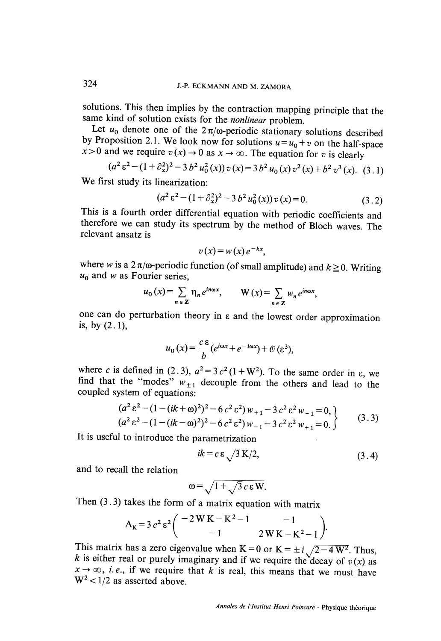solutions. This then implies by the contraction mapping principle that the same kind of solution exists for the *nonlinear* problem. Let  $u_0$  denote one of the  $2\pi/\omega$ -periodic stationary solutions described by Propositi  $x > 0$  and we require  $v(x) \to 0$  as  $x \to \infty$ . The equation for v is clearly

$$
(a^{2} \varepsilon^{2} - (1 + \partial_{x}^{2})^{2} - 3 b^{2} u_{0}^{2}(x)) v(x) = 3 b^{2} u_{0}(x) v^{2}(x) + b^{2} v^{3}(x).
$$
 (3.1)

We first study its linearization:

$$
(a2 \varepsilon2 - (1 + \partial_x2)2 - 3 b2 u02(x)) v(x) = 0.
$$
 (3.2)

This is a fourth order differential équation with periodic coefficients and therefore we can study its spectrum by the method of Bloch waves. The relevant ansatz is

$$
v(x) = w(x) e^{-kx},
$$

where w is a  $2\pi/\omega$ -periodic function (of small amplitude) and  $k \ge 0$ . Writing  $u_0$  and w as Fourier series,

$$
u_0(x) = \sum_{n \in \mathbb{Z}} \eta_n e^{in\omega x}, \qquad W(x) = \sum_{n \in \mathbb{Z}} w_n e^{in\omega x},
$$

one can do perturbation theory in  $\varepsilon$  and the lowest order approximation is, by  $(2.1)$ ,

$$
u_0(x) = \frac{c \,\varepsilon}{b} (e^{i\omega x} + e^{-i\omega x}) + \mathcal{O}(\varepsilon^3),
$$

where c is defined in (2.3),  $a^2 = 3 c^2 (1 + W^2)$ . To the same order in  $\varepsilon$ , we find that the "modes"  $w_{\pm 1}$  decouple from the others and lead to the coupled system of equations:

$$
(a2 \varepsilon2 - (1 - (ik + \omega)2)2 - 6 c2 \varepsilon2) w+1 - 3 c2 \varepsilon2 w-1 = 0,(a2 \varepsilon2 - (1 - (ik - \omega)2)2 - 6 c2 \varepsilon2) w-1 - 3 c2 \varepsilon2 w+1 = 0.
$$
 (3.3)

It is useful to introduce the parametrization

$$
ik = c \varepsilon \sqrt{3} \, \mathbf{K}/2,\tag{3.4}
$$

and to recall the relation

$$
\omega = \sqrt{1 + \sqrt{3} c \epsilon W}.
$$

Then  $(3.3)$  takes the form of a matrix equation with matrix

$$
A_{K} = 3 c^{2} \varepsilon^{2} \left( \begin{array}{rr} -2 W K - K^{2} - 1 & -1 \\ -1 & 2 W K - K^{2} - 1 \end{array} \right).
$$

This matrix has a zero eigenvalue when K = 0 or K =  $\pm i \sqrt{2-4}W^2$ . Thus, k is either real or purely imaginary and if we require the decay of  $v(x)$  as  $x \rightarrow \infty$ , *i.e.*, if we require that k is real, this means that we must have  $W^2$  < 1/2 as asserted above.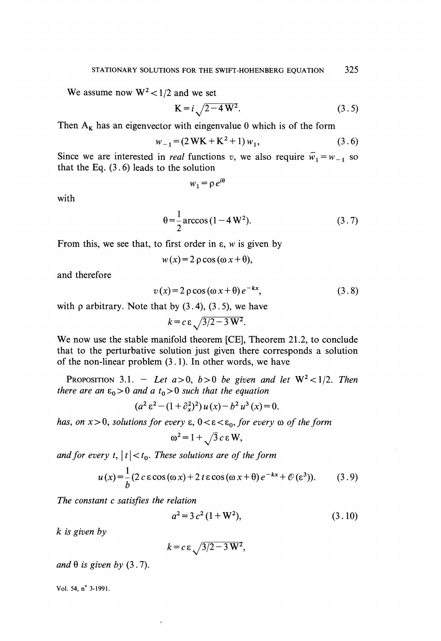We assume now  $W^2 < 1/2$  and we set

$$
K = i \sqrt{2 - 4 W^2}.
$$
 (3.5)

Then  $A_K$  has an eigenvector with eingenvalue 0 which is of the form

$$
w_{-1} = (2 \text{WK} + \text{K}^2 + 1) w_1, \tag{3.6}
$$

Since we are interested in *real* functions v, we also require  $\overline{w}_1 = w_{-1}$  so that the Eq.  $(3.6)$  leads to the solution

$$
w_1 = \rho e^{i\theta}
$$

with

$$
\theta = \frac{1}{2} \arccos(1 - 4 W^2). \tag{3.7}
$$

From this, we see that, to first order in  $\varepsilon$ , w is given by

$$
w(x) = 2 \rho \cos{(\omega x + \theta)},
$$

and therefore

$$
v(x) = 2 \rho \cos(\omega x + \theta) e^{-kx}, \qquad (3.8)
$$

with  $\rho$  arbitrary. Note that by  $(3.4)$ ,  $(3.5)$ , we have

$$
k = c \varepsilon \sqrt{3/2 - 3 W^2}.
$$

We now use the stable manifold theorem [CE], Theorem 21.2, to conclude that to the perturbative solution just given there corresponds a solution of the non-linear problem (3.1). In other words, we have

PROPOSITION 3.1. - Let  $a > 0$ ,  $b > 0$  be given and let  $W^2 < 1/2$ . Then there are an  $\varepsilon_0 > 0$  and a  $t_0 > 0$  such that the equation

$$
(a^{2} \varepsilon^{2} - (1 + \partial_{x}^{2})^{2}) u(x) - b^{2} u^{3}(x) = 0.
$$

has, on  $x > 0$ , solutions for every  $\varepsilon$ ,  $0 < \varepsilon < \varepsilon_0$ , for every  $\omega$  of the form

$$
\omega^2 = 1 + \sqrt{3} c \varepsilon W,
$$

and for every t,  $|t| < t_0$ . These solutions are of the form

$$
u(x) = \frac{1}{b} (2 c \epsilon \cos(\omega x) + 2 t \epsilon \cos(\omega x + \theta) e^{-kx} + \mathcal{O}(\epsilon^3)).
$$
 (3.9)

The constant c satisfies the relation

$$
a^2 = 3c^2(1 + W^2), \tag{3.10}
$$

k is given by

$$
k = c \,\varepsilon \sqrt{3/2 - 3\,\mathrm{W}^2},
$$

and  $\theta$  is given by (3.7).

Vol. 54, n° 3-1991.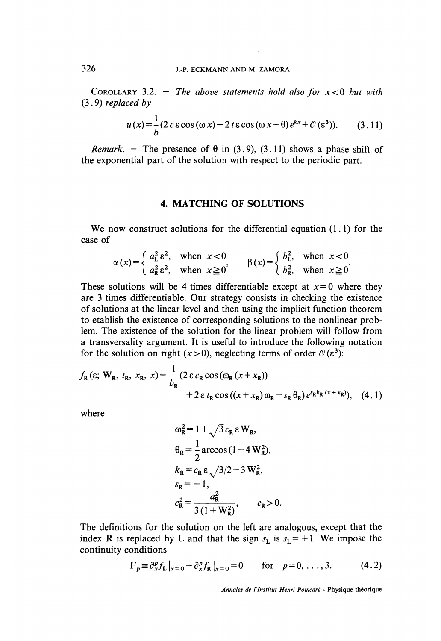COROLLARY 3.2. - The above statements hold also for  $x < 0$  but with (3 . 9) replaced by

$$
u(x) = \frac{1}{b} (2 c \varepsilon \cos{(\omega x)} + 2 t \varepsilon \cos{(\omega x - \theta)} e^{kx} + \mathcal{O}(\varepsilon^3)).
$$
 (3.11)

*Remark.* - The presence of  $\theta$  in (3.9), (3.11) shows a phase shift of the exponential part of the solution with respect to the periodic part.

### 4. MATCHING OF SOLUTIONS

We now construct solutions for the differential equation  $(1, 1)$  for the case of

$$
\alpha(x) = \begin{cases} a_{\text{L}}^2 \varepsilon^2, & \text{when } x < 0 \\ a_{\text{R}}^2 \varepsilon^2, & \text{when } x \ge 0 \end{cases} \qquad \beta(x) = \begin{cases} b_{\text{L}}^2, & \text{when } x < 0 \\ b_{\text{R}}^2, & \text{when } x \ge 0 \end{cases}
$$

These solutions will be 4 times differentiable except at  $x = 0$  where they are 3 times differentiable. Our strategy consists in checking the existence of solutions at the linear level and then using the implicit function theorem to etablish the existence of corresponding solutions to the nonlinear problem. The existence of the solution for the linear problem will follow from a transversality argument. It is useful to introduce the following notation for the solution on right ( $x>0$ ), neglecting terms of order  $\mathcal{O}(\epsilon^3)$ :

$$
f_{\mathbf{R}}(\varepsilon; \mathbf{W}_{\mathbf{R}}, t_{\mathbf{R}}, x_{\mathbf{R}}, x) = \frac{1}{b_{\mathbf{R}}} (2 \varepsilon c_{\mathbf{R}} \cos (\omega_{\mathbf{R}} (x + x_{\mathbf{R}}))
$$
  
+ 2 \varepsilon t\_{\mathbf{R}} \cos ((x + x\_{\mathbf{R}}) \omega\_{\mathbf{R}} - s\_{\mathbf{R}} \theta\_{\mathbf{R}}) e^{s\_{\mathbf{R}} k\_{\mathbf{R}} (x + x\_{\mathbf{R}})}), (4.1)

where

$$
\omega_{\mathbf{R}}^2 = 1 + \sqrt{3} c_{\mathbf{R}} \varepsilon W_{\mathbf{R}},
$$
  
\n
$$
\theta_{\mathbf{R}} = \frac{1}{2} \arccos(1 - 4 W_{\mathbf{R}}^2),
$$
  
\n
$$
k_{\mathbf{R}} = c_{\mathbf{R}} \varepsilon \sqrt{3/2 - 3 W_{\mathbf{R}}^2},
$$
  
\n
$$
s_{\mathbf{R}} = -1,
$$
  
\n
$$
c_{\mathbf{R}}^2 = \frac{a_{\mathbf{R}}^2}{3 (1 + W_{\mathbf{R}}^2)}, \qquad c_{\mathbf{R}} > 0.
$$

The définitions for the solution on the left are analogous, except that the index R is replaced by L and that the sign  $s_L$  is  $s_L = +1$ . We impose the continuity conditions

$$
\mathbf{F}_p \equiv \partial_x^p f_L \big|_{x=0} - \partial_x^p f_R \big|_{x=0} = 0 \quad \text{for} \quad p = 0, \dots, 3. \tag{4.2}
$$

Annales de l'Institut Henri Poincaré - Physique théorique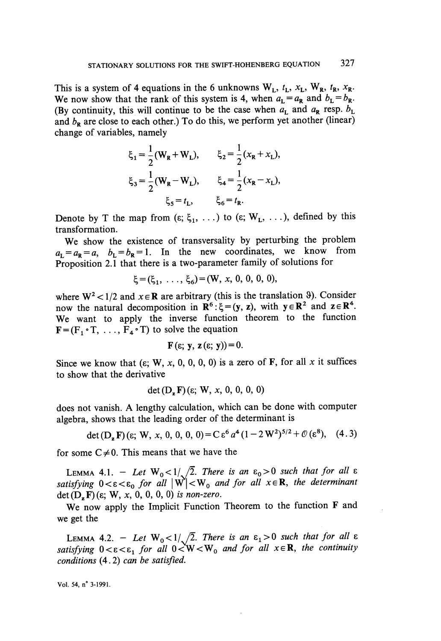This is a system of 4 equations in the 6 unknowns  $W_L$ ,  $t_L$ ,  $x_L$ ,  $W_R$ ,  $t_R$ ,  $x_R$ . We now show that the rank of this system is 4, when  $a_L = a_R$  and  $b_L = b_R$ . (By continuity, this will continue to be the case when  $a_L$  and  $a_R$  resp.  $b_L$ and  $b_R$  are close to each other.) To do this, we perform yet another (linear) change of variables, namely

$$
\xi_1 = \frac{1}{2} (W_R + W_L), \qquad \xi_2 = \frac{1}{2} (x_R + x_L),
$$
  

$$
\xi_3 = \frac{1}{2} (W_R - W_L), \qquad \xi_4 = \frac{1}{2} (x_R - x_L),
$$
  

$$
\xi_5 = t_L, \qquad \xi_6 = t_R.
$$

Denote by T the map from  $(\epsilon; \xi_1, \ldots)$  to  $(\epsilon; W_L, \ldots)$ , defined by this transformation.

We show the existence of transversality by perturbing the problem  $a_L = a_R = a$ ,  $b_L = b_R = 1$ . In the new coordinates, we know from Proposition 2.1 that there is a two-parameter family of solutions for

$$
\xi = (\xi_1, \ldots, \xi_6) = (W, x, 0, 0, 0, 0)
$$

where  $W^2 < 1/2$  and  $x \in \mathbb{R}$  are arbitrary (this is the translation 9). Consider now the natural decomposition in  $\mathbb{R}^6$ :  $\xi = (\mathbf{y}, \mathbf{z})$ , with  $\mathbf{y} \in \mathbb{R}^2$  and  $\mathbf{z} \in \mathbb{R}^4$ . We want to apply the inverse function theorem to the function  $F = (F_1 \circ T, \ldots, F_4 \circ T)$  to solve the equation

$$
\mathbf{F}(\varepsilon; \mathbf{y}, \mathbf{z}(\varepsilon; \mathbf{y})) = 0
$$

Since we know that ( $\varepsilon$ ; W, x, 0, 0, 0, 0) is a zero of F, for all x it suffices to show that the derivative

$$
\det(\mathbf{D}, \mathbf{F})(\varepsilon; \mathbf{W}, x, 0, 0, 0, 0)
$$

does not vanish. A lengthy calculation, which can be done with computer algebra, shows that the leading order of the déterminant is

$$
\det(\mathbf{D}_z \mathbf{F}) (\varepsilon; \mathbf{W}, x, 0, 0, 0, 0) = C \varepsilon^6 a^4 (1 - 2 W^2)^{5/2} + \mathcal{O}(\varepsilon^8), \quad (4.3)
$$

for some  $C \neq 0$ . This means that we have the

LEMMA 4.1. - Let  $W_0 < 1/\sqrt{2}$ . There is an  $\varepsilon_0 > 0$  such that for all  $\varepsilon$ satisfying  $0 < \varepsilon < \varepsilon_0$  for all  $|W| < W_0$  and for all  $x \in \mathbb{R}$ , the determinant det  $(D_z F)(\varepsilon; W, x, 0, 0, 0, 0)$  is non-zero.

We now apply the Implicit Function Theorem to the function F and we get the

LEMMA 4.2. - Let  $W_0 < 1/\sqrt{2}$ . There is an  $\epsilon_1 > 0$  such that for all  $\epsilon$ satisfying  $0 < \varepsilon < \varepsilon_1$  for all  $0 < W < W_0$  and for all  $x \in \mathbb{R}$ , the continuity conditions (4. 2) can be satisfied.

Vol. 
$$
54
$$
, n<sup>°</sup>  $3-1991$ .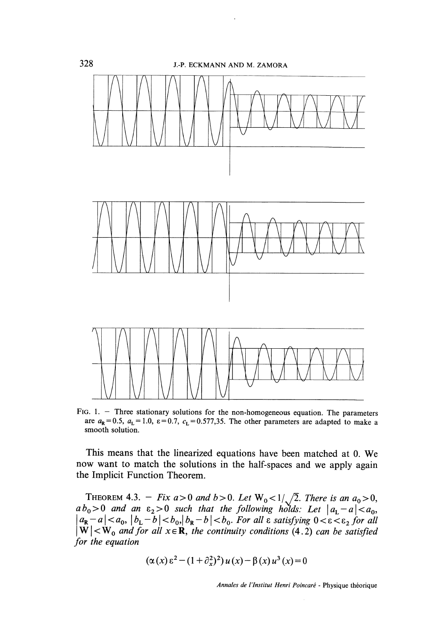

FIG. 1. - Three stationary solutions for the non-homogeneous equation. The parameters are  $a_R = 0.5$ ,  $a_L = 1.0$ ,  $\varepsilon = 0.7$ ,  $c_L = 0.577,35$ . The other parameters are adapted to make a smooth solution.

This means that the linearized equations have been matched at 0. We now want to match the solutions in the half-spaces and we apply again the Implicit Function Theorem.

THEOREM 4.3.  $-$  Fix a>0 and b>0. Let  $W_0 < 1/\sqrt{2}$ . There is an  $a_0 > 0$ ,  $a b_0 > 0$  and an  $\varepsilon_2 > 0$  such that the following holds: Let  $|a_L - a| < a_0$ ,  $|a_{\mathbf{R}}-a| < a_0, |b_{\mathbf{L}}-b| < b_0, |b_{\mathbf{R}}-b| < b_0$ . For all  $\varepsilon$  satisfying  $0 < \varepsilon < \varepsilon_2$  for all  $W| < W_0$  and for all  $x \in \mathbf{R}$ , the continuity conditions (4.2) can be satisfied for the equation

$$
(\alpha(x) \epsilon^{2} - (1 + \partial_{x}^{2})^{2}) u(x) - \beta(x) u^{3}(x) = 0
$$

Annales de l'Institut Henri Poincaré - Physique théorique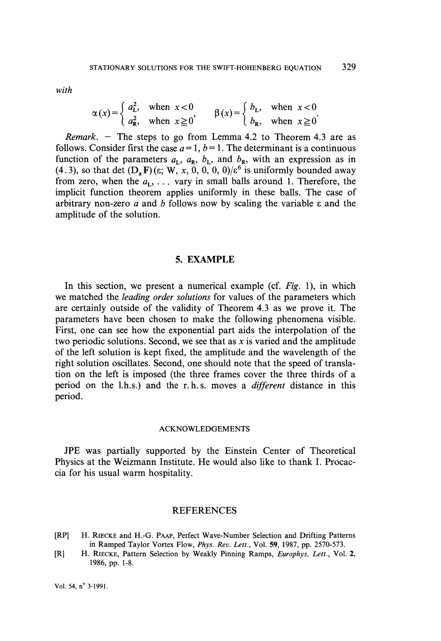with

$$
\alpha(x) = \begin{cases} a_{\rm L}^2, & \text{when } x < 0 \\ a_{\rm R}^2, & \text{when } x \ge 0 \end{cases} \qquad \beta(x) = \begin{cases} b_{\rm L}, & \text{when } x < 0 \\ b_{\rm R}, & \text{when } x \ge 0 \end{cases}.
$$

*Remark.*  $-$  The steps to go from Lemma 4.2 to Theorem 4.3 are as follows. Consider first the case  $a=1, b=1$ . The determinant is a continuous function of the parameters  $a_L$ ,  $a_R$ ,  $b_L$ , and  $b_R$ , with an expression as in (4.3), so that det  $(D_x F)(\varepsilon; W, x, 0, 0, 0, 0/\varepsilon^6$  is uniformly bounded away from zero, when the  $a_L$ , ... vary in small balls around 1. Therefore, the implicit function theorem applies uniformly in these balls. The case of arbitrary non-zero a and b follows now by scaling the variable  $\varepsilon$  and the amplitude of the solution.

## 5. EXAMPLE

In this section, we present a numerical example (cf. Fig. 1), in which we matched the leading order solutions for values of the parameters which are certainly outside of the validity of Theorem 4.3 as we prove it. The parameters have been chosen to make the following phenomena visible. First, one can see how the exponential part aids the interpolation of the two periodic solutions. Second, we see that as  $x$  is varied and the amplitude of the left solution is kept fixed, the amplitude and the wavelength of the right solution oscillates. Second, one should note that the speed of translation on the left is imposed (the three frames cover the three thirds of a period on the l.h.s.) and the r. h. s. moves a different distance in this period.

#### ACKNOWLEDGEMENTS

JPE was partially supported by the Einstein Center of Theoretical Physics at the Weizmann Institute. He would also like to thank I. Procaccia for his usual warm hospitality.

#### **REFERENCES**

- [RP] H. RIECKE and H.-G. PAAP, Perfect Wave-Number Selection and Drifting Patterns in Ramped Taylor Vortex Flow, Phys. Rev. Lett., Vol. 59, 1987, pp. 2570-573.
- [R] H. RIECKE, Pattern Selection by Weakly Pinning Ramps, *Europhys. Lett.*, Vol. 2, 1986, pp. 1-8.

Vol. 54, n° 3-1991.